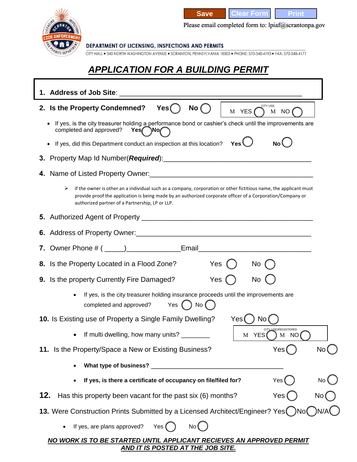

**Save Clear Form Print** 

Please email completed form to: lpiaf@scrantonpa.gov

DEPARTMENT OF LICENSING, INSPECTIONS AND PERMITS

CITY HALL . 340 NORTH WASHINGTON AVENUE . SCRANTON, PENNSYLVANIA 18503 . PHONE: 570-348-4193 . FAX: 570-348-4171

## *APPLICATION FOR A BUILDING PERMIT*

| CITY USE<br>2. Is the Property Condemned?<br>No (<br>Yes()<br>M YES<br>M NO                                                                                                                                                                                                             |     |
|-----------------------------------------------------------------------------------------------------------------------------------------------------------------------------------------------------------------------------------------------------------------------------------------|-----|
| If yes, is the city treasurer holding a performance bond or cashier's check until the improvements are<br>$\bullet$<br>completed and approved?<br>Yes No                                                                                                                                |     |
| Yes $\cup$<br>If yes, did this Department conduct an inspection at this location?<br>No l<br>$\bullet$                                                                                                                                                                                  |     |
|                                                                                                                                                                                                                                                                                         |     |
|                                                                                                                                                                                                                                                                                         |     |
| ➤<br>if the owner is other an a individual such as a company, corporation or other fictitious name, the applicant must<br>provide proof the application is being made by an authorized corporate officer of a Corporation/Company or<br>authorized partner of a Partnership, LP or LLP. |     |
|                                                                                                                                                                                                                                                                                         |     |
|                                                                                                                                                                                                                                                                                         |     |
|                                                                                                                                                                                                                                                                                         |     |
| Yes $()$<br>8. Is the Property Located in a Flood Zone?<br>No                                                                                                                                                                                                                           |     |
| Yes<br>9. Is the property Currently Fire Damaged?<br>No                                                                                                                                                                                                                                 |     |
| If yes, is the city treasurer holding insurance proceeds until the improvements are<br>Yes $( )$ No $( )$<br>completed and approved?                                                                                                                                                    |     |
| Yes(<br>10. Is Existing use of Property a Single Family Dwelling?<br>No                                                                                                                                                                                                                 |     |
| <b>LISE/REGISTERED</b><br>If multi dwelling, how many units? _________<br>M YES<br>) M NO                                                                                                                                                                                               |     |
| 11. Is the Property/Space a New or Existing Business?<br>Yes                                                                                                                                                                                                                            |     |
| What type of business? ___________                                                                                                                                                                                                                                                      |     |
| If yes, is there a certificate of occupancy on file/filed for?<br>Yes                                                                                                                                                                                                                   | No. |
| 12. Has this property been vacant for the past six (6) months?<br>Yes<br>No                                                                                                                                                                                                             |     |
| 13. Were Construction Prints Submitted by a Licensed Architect/Engineer? Yes No                                                                                                                                                                                                         |     |
| If yes, are plans approved?<br>Yes (<br>No (                                                                                                                                                                                                                                            |     |
| NO WORK IS TO BE STARTED UNTIL APPLICANT RECIEVES AN APPROVED PERMIT                                                                                                                                                                                                                    |     |

*AND IT IS POSTED AT THE JOB SITE.*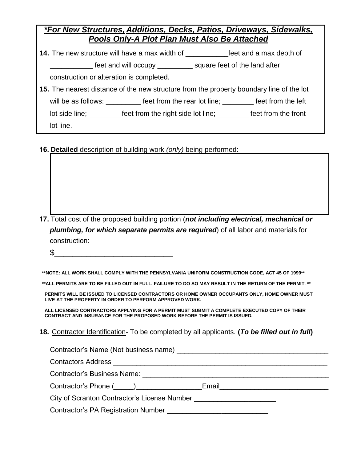| *For New Structures, Additions, Decks, Patios, Driveways, Sidewalks, |  |                                                     |  |
|----------------------------------------------------------------------|--|-----------------------------------------------------|--|
|                                                                      |  | <b>Pools Only-A Plot Plan Must Also Be Attached</b> |  |

**14.** The new structure will have a max width of \_\_\_\_\_\_\_\_\_\_\_feet and a max depth of

feet and will occupy \_\_\_\_\_\_\_\_\_\_ square feet of the land after

construction or alteration is completed.

- **15.** The nearest distance of the new structure from the property boundary line of the lot will be as follows: \_\_\_\_\_\_\_\_\_\_ feet from the rear lot line; \_\_\_\_\_\_\_\_ feet from the left lot side line; \_\_\_\_\_\_\_\_\_ feet from the right side lot line; \_\_\_\_\_\_\_\_ feet from the front lot line.
- **16. Detailed** description of building work *(only)* being performed:

- **17.** Total cost of the proposed building portion (*not including electrical, mechanical or plumbing, for which separate permits are required*) of all labor and materials for construction:
	- \$\_\_\_\_\_\_\_\_\_\_\_\_\_\_\_\_\_\_\_\_\_\_\_\_\_\_

**\*\*NOTE: ALL WORK SHALL COMPLY WITH THE PENNSYLVANIA UNIFORM CONSTRUCTION CODE, ACT 45 OF 1999\*\*** 

**\*\*ALL PERMITS ARE TO BE FILLED OUT IN FULL. FAILURE TO DO SO MAY RESULT IN THE RETURN OF THE PERMIT. \*\*** 

**PERMITS WILL BE ISSUED TO LICENSED CONTRACTORS OR HOME OWNER OCCUPANTS ONLY, HOME OWNER MUST LIVE AT THE PROPERTY IN ORDER TO PERFORM APPROVED WORK.** 

**ALL LICENSED CONTRACTORS APPLYING FOR A PERMIT MUST SUBMIT A COMPLETE EXECUTED COPY OF THEIR CONTRACT AND INSURANCE FOR THE PROPOSED WORK BEFORE THE PERMIT IS ISSUED.** 

**18.** Contractor Identification- To be completed by all applicants. **(***To be filled out in full***)**

| Contractor's Name (Not business name) example and the contractor's Name (Not business name)                    |  |
|----------------------------------------------------------------------------------------------------------------|--|
|                                                                                                                |  |
| Contractor's Business Name: the contractor's distribution of the contractor's distribution of the contractor's |  |
| Contractor's Phone (_____)_________________________Email________________________                               |  |
| City of Scranton Contractor's License Number                                                                   |  |
| <b>Contractor's PA Registration Number</b>                                                                     |  |